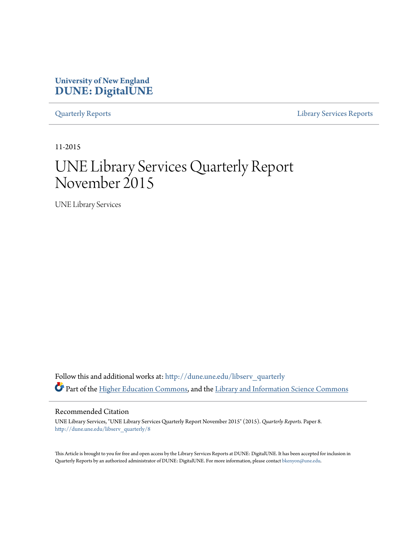# **University of New England [DUNE: DigitalUNE](http://dune.une.edu?utm_source=dune.une.edu%2Flibserv_quarterly%2F8&utm_medium=PDF&utm_campaign=PDFCoverPages)**

[Quarterly Reports](http://dune.une.edu/libserv_quarterly?utm_source=dune.une.edu%2Flibserv_quarterly%2F8&utm_medium=PDF&utm_campaign=PDFCoverPages) [Library Services Reports](http://dune.une.edu/libserv_reports?utm_source=dune.une.edu%2Flibserv_quarterly%2F8&utm_medium=PDF&utm_campaign=PDFCoverPages)

11-2015

# UNE Library Services Quarterly Report November 2015

UNE Library Services

Follow this and additional works at: [http://dune.une.edu/libserv\\_quarterly](http://dune.une.edu/libserv_quarterly?utm_source=dune.une.edu%2Flibserv_quarterly%2F8&utm_medium=PDF&utm_campaign=PDFCoverPages) Part of the [Higher Education Commons](http://network.bepress.com/hgg/discipline/1245?utm_source=dune.une.edu%2Flibserv_quarterly%2F8&utm_medium=PDF&utm_campaign=PDFCoverPages), and the [Library and Information Science Commons](http://network.bepress.com/hgg/discipline/1018?utm_source=dune.une.edu%2Flibserv_quarterly%2F8&utm_medium=PDF&utm_campaign=PDFCoverPages)

Recommended Citation

UNE Library Services, "UNE Library Services Quarterly Report November 2015" (2015). *Quarterly Reports.* Paper 8. [http://dune.une.edu/libserv\\_quarterly/8](http://dune.une.edu/libserv_quarterly/8?utm_source=dune.une.edu%2Flibserv_quarterly%2F8&utm_medium=PDF&utm_campaign=PDFCoverPages)

This Article is brought to you for free and open access by the Library Services Reports at DUNE: DigitalUNE. It has been accepted for inclusion in Quarterly Reports by an authorized administrator of DUNE: DigitalUNE. For more information, please contact [bkenyon@une.edu.](mailto:bkenyon@une.edu)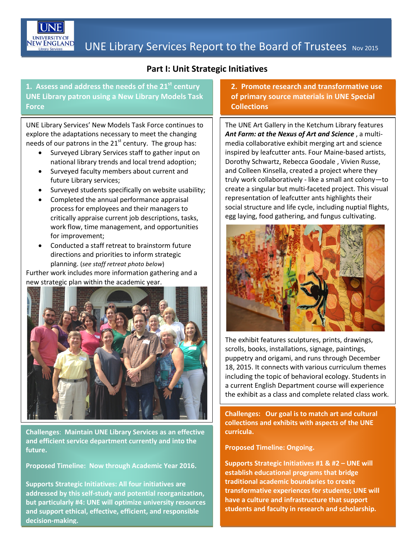

### **Part I: Unit Strategic Initiatives**

**1. Assess and address the needs of the 21st century UNE Library patron using a New Library Models Task Force**

UNE Library Services' New Models Task Force continues to explore the adaptations necessary to meet the changing needs of our patrons in the  $21<sup>st</sup>$  century. The group has:

- Surveyed Library Services staff to gather input on national library trends and local trend adoption;
- Surveyed faculty members about current and future Library services;
- Surveyed students specifically on website usability;
- Completed the annual performance appraisal process for employees and their managers to critically appraise current job descriptions, tasks, work flow, time management, and opportunities for improvement;
- Conducted a staff retreat to brainstorm future directions and priorities to inform strategic planning. (*see staff retreat photo below*)

Further work includes more information gathering and a new strategic plan within the academic year.



**Challenges**: **Maintain UNE Library Services as an effective and efficient service department currently and into the future.**

**Proposed Timeline: Now through Academic Year 2016.**

**Supports Strategic Initiatives: All four initiatives are addressed by this self-study and potential reorganization, but particularly #4: UNE will optimize university resources and support ethical, effective, efficient, and responsible decision-making.**

**2. Promote research and transformative use of primary source materials in UNE Special Collections**

The UNE Art Gallery in the Ketchum Library features *Ant Farm: at the Nexus of Art and Science* , a multimedia collaborative exhibit merging art and science inspired by leafcutter ants. Four Maine-based artists, Dorothy Schwartz, Rebecca Goodale , Vivien Russe, and Colleen Kinsella, created a project where they truly work collaboratively - like a small ant colony—to create a singular but multi-faceted project. This visual representation of leafcutter ants highlights their social structure and life cycle, including nuptial flights, egg laying, food gathering, and fungus cultivating.



The exhibit features sculptures, prints, drawings, scrolls, books, installations, signage, paintings, puppetry and origami, and runs through December 18, 2015. It connects with various curriculum themes including the topic of behavioral ecology. Students in a current English Department course will experience the exhibit as a class and complete related class work.

**Challenges: Our goal is to match art and cultural collections and exhibits with aspects of the UNE curricula.**

**Proposed Timeline: Ongoing.**

**Supports Strategic Initiatives #1 & #2 – UNE will establish educational programs that bridge traditional academic boundaries to create transformative experiences for students; UNE will have a culture and infrastructure that support students and faculty in research and scholarship.**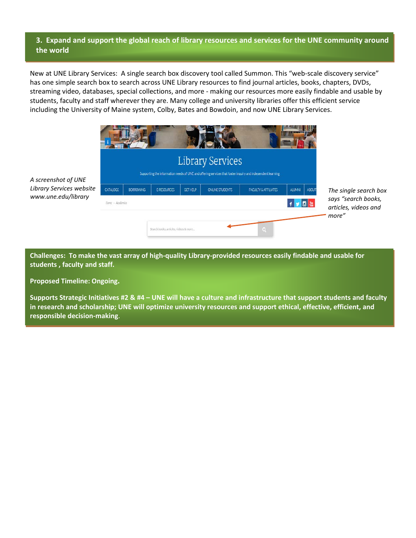#### **3. Expand and support the global reach of library resources and services for the UNE community around the world**

New at UNE Library Services: A single search box discovery tool called Summon. This "web-scale discovery service" has one simple search box to search across UNE Library resources to find journal articles, books, chapters, DVDs, streaming video, databases, special collections, and more - making our resources more easily findable and usable by students, faculty and staff wherever they are. Many college and university libraries offer this efficient service including the University of Maine system, Colby, Bates and Bowdoin, and now UNE Library Services.



*A screenshot of UNE Library Services website www.une.edu/library*

**Challenges: To make the vast array of high-quality Library-provided resources easily findable and usable for students , faculty and staff.**

**Proposed Timeline: Ongoing.**

**Supports Strategic Initiatives #2 & #4 – UNE will have a culture and infrastructure that support students and faculty in research and scholarship; UNE will optimize university resources and support ethical, effective, efficient, and responsible decision-making**.